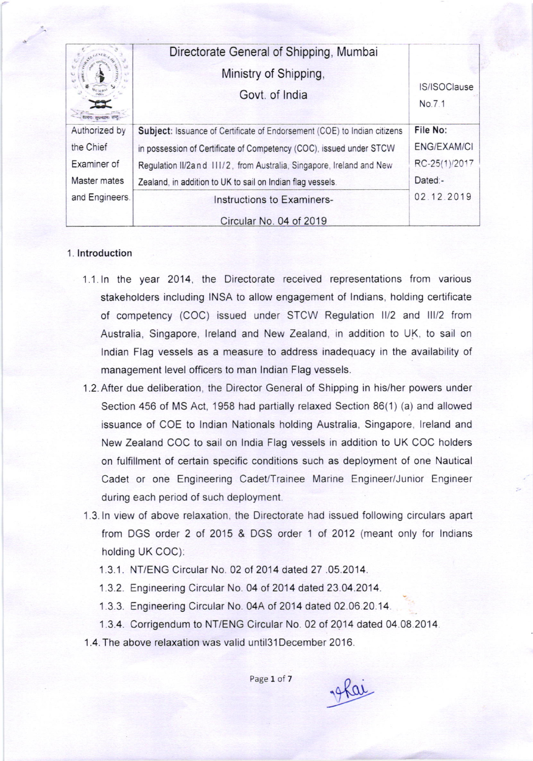|                | Directorate General of Shipping, Mumbai<br>Ministry of Shipping,<br>Govt. of India | IS/ISOClause<br>No.7.1 |
|----------------|------------------------------------------------------------------------------------|------------------------|
| Authorized by  | Subject: Issuance of Certificate of Endorsement (COE) to Indian citizens           | File No:               |
| the Chief      | in possession of Certificate of Competency (COC), issued under STCW                | <b>ENG/EXAM/CI</b>     |
| Examiner of    | Regulation II/2and 111/2, from Australia, Singapore, Ireland and New               | RC-25(1)/2017          |
| Master mates   | Zealand, in addition to UK to sail on Indian flag vessels.                         | Dated:-                |
| and Engineers. | Instructions to Examiners-                                                         | 02.12.2019             |
|                | Circular No. 04 of 2019                                                            |                        |

## 1. lntroduction

- 1.1. ln the yeat 2014. the Directorate received representations from various stakeholders including INSA to allow engagement of Indians, holding certificate of competency (COC) issued under STCW Regulation II/2 and III/2 from Australia, Singapore, lreland and New Zealand, in addition to UK, to sail on lndian Flag vessels as a measure to address inadequacy in the availability of management level officers to man lndian Flag vessels.
- <sup>1</sup>,2. After due deliberation, the Director General of Shipping in his/her powers under Section 456 of MS Act, 1958 had partially relaxed Section 86(1) (a) and allowed issuance of COE to lndian Nationals holding Australia. Singapore, lreland and New Zealand COC to sail on lndia Flag vessels in addition to UK COC holders on fulfillment of certain specific conditions such as deployment of one Nautical Cadet or one Engineering Cadet/Trainee Marine Engineer/Junior Engineer during each period of such deployment.
- 1.3. In view of above relaxation, the Directorate had issued following circulars apart from DGS order 2 of 2015 & DGS order 1 of 2012 (meant only for Indians holding UK COC):
	- 1.3.1. NT/ENG Circular No. 02 of 2014 dated 27 .05.2014.
	- 1 3.2. Engineering Circular No. 04 of 2014 dated 23.04.2014.
	- 1.3.3. Engineering Circular No. 04A of 2014 dated 02.06.20.14.
	- 1.3.4. Corrigendum to NT/ENG Circular No. 02 of 2014 dated 04.08.2014.

1.4. The above relaxation was valid until3l December 2016.

19 Kar

Page 1 of 7